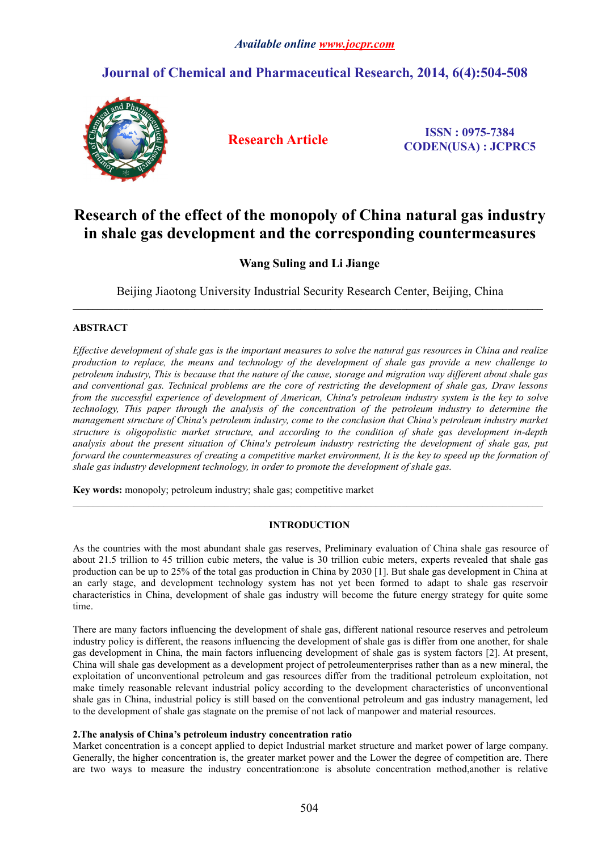## **Journal of Chemical and Pharmaceutical Research, 2014, 6(4):504-508**



**Research Article ISSN : 0975-7384 CODEN(USA) : JCPRC5**

# **Research of the effect of the monopoly of China natural gas industry in shale gas development and the corresponding countermeasures**

**Wang Suling and Li Jiange**

Beijing Jiaotong University Industrial Security Research Center, Beijing, China

 $\_$  ,  $\_$  ,  $\_$  ,  $\_$  ,  $\_$  ,  $\_$  ,  $\_$  ,  $\_$  ,  $\_$  ,  $\_$  ,  $\_$  ,  $\_$  ,  $\_$  ,  $\_$  ,  $\_$  ,  $\_$  ,  $\_$  ,  $\_$  ,  $\_$  ,  $\_$  ,  $\_$  ,  $\_$  ,  $\_$  ,  $\_$  ,  $\_$  ,  $\_$  ,  $\_$  ,  $\_$  ,  $\_$  ,  $\_$  ,  $\_$  ,  $\_$  ,  $\_$  ,  $\_$  ,  $\_$  ,  $\_$  ,  $\_$  ,

## **ABSTRACT**

Effective development of shale gas is the important measures to solve the natural gas resources in China and realize production to replace, the means and technology of the development of shale gas provide a new challenge to petroleum industry. This is because that the nature of the cause, storage and migration way different about shale gas and conventional gas. Technical problems are the core of restricting the development of shale gas, Draw lessons from the successful experience of development of American, China's petroleum industry system is the key to solve *technology, This paper through the analysis of the concentration of the petroleum industry to determine the management structure of China's petroleum industry, come to the conclusion that China's petroleum industry market structure is oligopolistic market structure, and according to the condition of shale gas development in-depth analysis about the present situation of China's petroleum industry restricting the development of shale gas, put* forward the countermeasures of creating a competitive market environment. It is the key to speed up the formation of *shale gas industry development technology, in order to promote the development of shale gas.*

**Key words:**monopoly; petroleum industry; shale gas; competitive market

## **INTRODUCTION**

As the countries with the most abundant shale gas reserves, Preliminary evaluation of China shale gas resource of about 21.5 trillion to 45 trillion cubic meters, the value is30 trillion cubic meters, experts revealed that shale gas production can be up to 25% of the total gas production in China by 2030 [1]. But shale gas development in China at an early stage, and development technology system has not yet been formed to adapt to shale gas reservoir characteristics in China, development of shale gas industry will become the future energy strategy for quite some time.

There are many factors influencing the development of shale gas, different national resource reserves and petroleum industry policy is different, the reasons influencing the development of shale gas is differ from one another, for shale gas development in China, the main factors influencing development of shale gas is system factors [2]. At present, China will shale gas development as a development project of petroleumenterprises rather than as a new mineral, the exploitation of unconventional petroleum and gas resources differ from the traditional petroleum exploitation, not make timely reasonable relevant industrial policy according to the development characteristics of unconventional shale gas in China, industrial policy is still based on the conventional petroleum and gas industry management, led to the development of shale gas stagnate on the premise of not lack of manpower and material resources.

## **2.The analysis ofChina's petroleum industry concentration ratio**

Market concentration is a concept applied to depict Industrial market structure and market power of large company. Generally, the higher concentration is, the greater market power and the Lower the degree of competition are. There are two ways to measure the industry concentration:one is absolute concentration method,another is relative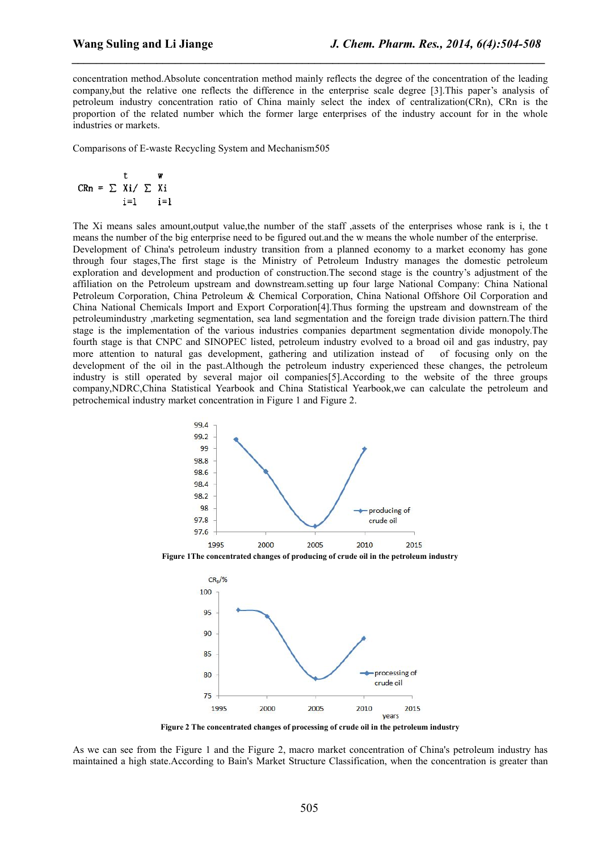concentration method.Absolute concentration method mainly reflects the degree of the concentration of the leading company,but the relative one reflects the difference in the enterprise scale degree [3].This paper's analysis of petroleum industry concentration ratio of China mainly select the index of centralization(CRn), CRn is the proportion of the related number which the former large enterprises of the industry account for in the whole industries or markets.

*\_\_\_\_\_\_\_\_\_\_\_\_\_\_\_\_\_\_\_\_\_\_\_\_\_\_\_\_\_\_\_\_\_\_\_\_\_\_\_\_\_\_\_\_\_\_\_\_\_\_\_\_\_\_\_\_\_\_\_\_\_\_\_\_\_\_\_\_\_\_\_\_\_\_\_\_\_\_*

Comparisons of E-waste Recycling System and Mechanism505

$$
CRn = \sum_{i=1}^{t} x_i / \sum_{i=1}^{w} x_i
$$

The Xi means sales amount,output value,the number of the staff ,assets of the enterprises whose rank is i, the t means the number of the big enterprise need to be figured out.and the w means the whole number of the enterprise. Development of China's petroleum industry transition from a planned economy to a market economy has gone through four stages,The first stage is the Ministry of Petroleum Industry manages the domestic petroleum exploration and development and production of construction.The second stage is the country's adjustment of the affiliation on the Petroleum upstream and downstream.setting up four large National Company: China National Petroleum Corporation, China Petroleum & Chemical Corporation, China National Offshore Oil Corporation and China National Chemicals Import and Export Corporation[4].Thus forming the upstream and downstream of the petroleumindustry ,marketing segmentation, sea land segmentation and the foreign trade division pattern.The third stage is the implementation of the various industries companies department segmentation divide monopoly.The fourth stage is that CNPC and SINOPEC listed, petroleum industry evolved to a broad oil and gas industry, pay more attention to natural gas development, gathering and utilization instead of of focusing only on the development of the oil in the past.Although the petroleum industry experienced these changes, the petroleum industry is still operated by several major oil companies [5]. According to the website of the three groups company,NDRC,China Statistical Yearbook and China Statistical Yearbook,we can calculate the petroleum and petrochemical industry market concentration in Figure 1 and Figure 2.



**Figure 1The concentrated changes ofproducing of crude oil in the petroleum industry**



**Figure 2 The concentrated changes ofprocessing of crude oil in the petroleum industry**

As we can see from the Figure 1 and the Figure 2, macro market concentration of China's petroleum industry has maintained a high state.According to Bain's Market Structure Classification, when the concentration is greater than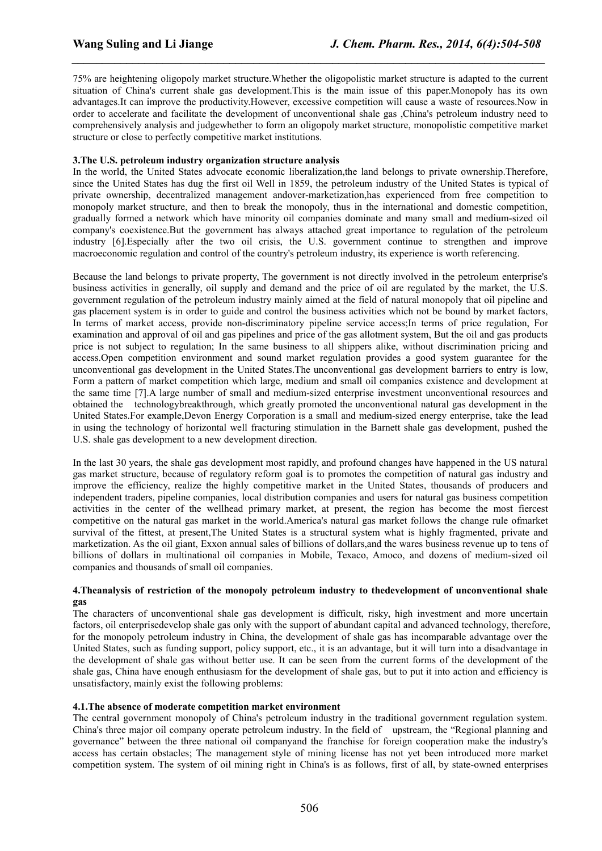75% are heightening oligopoly market structure. Whether the oligopolistic market structure is adapted to the current situation of China's current shale gas development.This is the main issue of this paper.Monopoly has its own advantages.It can improve the productivity.However, excessive competition will cause a waste of resources.Now in order to accelerate and facilitate the development of unconventional shale gas ,China's petroleum industry need to comprehensively analysis and judgewhether to form an oligopoly market structure, monopolistic competitive market structure or close to perfectly competitive market institutions.

*\_\_\_\_\_\_\_\_\_\_\_\_\_\_\_\_\_\_\_\_\_\_\_\_\_\_\_\_\_\_\_\_\_\_\_\_\_\_\_\_\_\_\_\_\_\_\_\_\_\_\_\_\_\_\_\_\_\_\_\_\_\_\_\_\_\_\_\_\_\_\_\_\_\_\_\_\_\_*

#### **3.The U.S. petroleum industry organization structure analysis**

In the world, the United States advocate economic liberalization,the land belongs to private ownership.Therefore, since the United States has dug the first oil Well in 1859, the petroleum industry of the United States is typical of private ownership, decentralized management andover-marketization,has experienced from free competition to monopoly market structure, and then to break the monopoly, thus in the international and domestic competition, gradually formed a network which have minority oil companies dominate and many small and medium-sized oil company's coexistence.But the government has always attached great importance to regulation of the petroleum industry [6].Especially after the two oil crisis, the U.S. government continue to strengthen and improve macroeconomic regulation and control of the country's petroleum industry, its experience isworth referencing.

Because the land belongs to private property, The government is not directly involved in the petroleum enterprise's business activities in generally, oil supply and demand and the price of oil are regulated by the market, the U.S. government regulation of the petroleum industry mainly aimed at the field of naturalmonopoly that oil pipeline and gas placement system is in order to guide and control the business activities which not be bound by market factors, In terms of market access, provide non-discriminatory pipeline service access;In terms of price regulation, For examination and approval of oil and gas pipelines and price of the gas allotment system, But the oil and gas products price is not subject to regulation; In the same business to all shippers alike, without discrimination pricing and access.Open competition environment and sound market regulation provides a good system guarantee for the unconventional gas development in the United States.The unconventional gas development barriers to entry is low, Form a pattern of market competition which large, medium and small oil companies existence and development at the same time [7].A large number of small and medium-sized enterprise investment unconventional resources and obtained the technologybreakthrough, which greatly promoted the unconventional natural gas development in the United States.For example,Devon Energy Corporation is a smalland medium-sized energy enterprise, take the lead in using the technology of horizontal well fracturing stimulation in the Barnett shale gas development, pushed the U.S. shale gas development to a new development direction.

In the last 30 years, the shale gas development most rapidly, and profound changes have happened in the US natural gas market structure, because of regulatory reform goal is to promotes the competition of natural gas industry and improve the efficiency, realize the highly competitive marketin the United States, thousands of producers and independent traders, pipeline companies, local distribution companies and users for natural gas business competition activities in the center of the wellhead primary market, at present, the region has become the most fiercest competitive on the naturalgas market in the world.America's natural gas market follows the change rule ofmarket survival of the fittest, at present,The United States is a structural system what is highly fragmented, private and marketization. As the oil giant, Exxon annual sales of billions of dollars, and the wares business revenue up to tens of billions of dollars in multinational oil companies in Mobile, Texaco, Amoco, and dozens of medium-sized oil companies and thousands of small oil companies.

#### **4.Theanalysis of restriction of the monopoly petroleum industry to thedevelopment of unconventional shale gas**

The characters of unconventional shale gas development is difficult, risky, high investment and more uncertain factors, oil enterprisedevelop shale gas only with the support of abundant capital and advanced technology, therefore, for the monopoly petroleum industry in China, the development of shale gas has incomparable advantage overthe United States, such as funding support, policy support, etc., it is an advantage, but it will turn into a disadvantage in the development of shale gas without better use. It can be seen from the current forms of the development of the shale gas, China have enough enthusiasm for the development of shale gas, but to put it into action and efficiency is unsatisfactory, mainly exist the following problems:

#### **4.1.The absence of moderate competition market environment**

The central government monopoly of China's petroleum industry in the traditional government regulation system. China's three major oil company operate petroleum industry. In the field of upstream, the "Regional planning and governance" between the three national oil companyand the franchise for foreign cooperation make the industry's access has certain obstacles; The management style of mining license has not yet been introduced more market competition system. The system of oil mining right in China's is as follows, first of all,by state-owned enterprises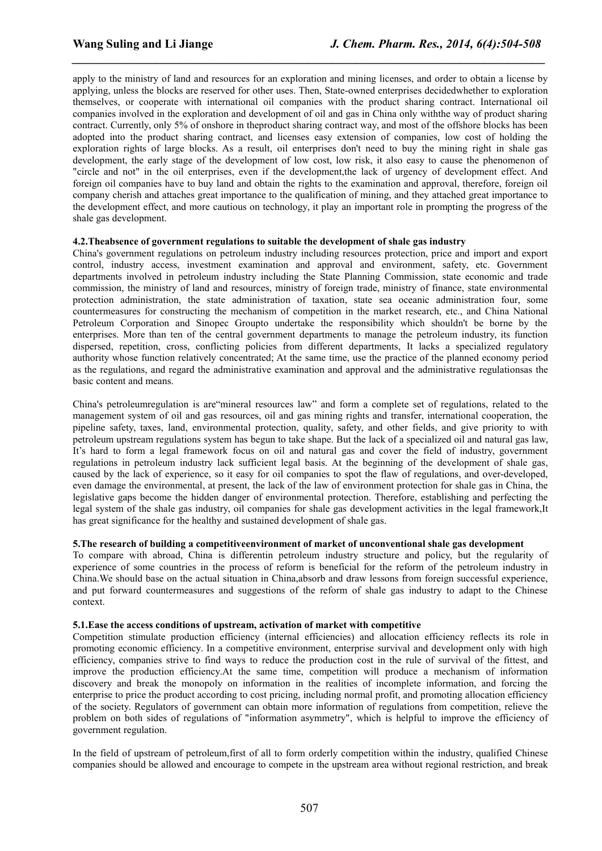apply to the ministry of land and resources for an exploration and mining licenses, and order to obtain a license by applying, unless the blocks are reserved for other uses. Then, State-owned enterprises decidedwhether to exploration themselves, or cooperate with international oil companies with the product sharing contract. International oil companies involved in the exploration and development of oil and gas in China only withthe way of product sharing contract. Currently, only 5% of onshore in theproduct sharing contract way, and most of the offshore blocks has been adopted into the product sharing contract, and licenses easy extension of companies, low cost of holding the exploration rights of large blocks. As a result, oil enterprises don't need to buy the mining right in shale gas development, the early stage of the development of low cost, low risk, it also easy to cause the phenomenon of "circle and not" in the oil enterprises, even if the development,the lack of urgency of development effect. And foreign oil companies have to buy land and obtain the rights to the examination and approval, therefore, foreign oil company cherish and attaches great importance to the qualification of mining, and they attached great importance to the development effect, and more cautious on technology, it play an important role in prompting the progress of the shale gas development.

*\_\_\_\_\_\_\_\_\_\_\_\_\_\_\_\_\_\_\_\_\_\_\_\_\_\_\_\_\_\_\_\_\_\_\_\_\_\_\_\_\_\_\_\_\_\_\_\_\_\_\_\_\_\_\_\_\_\_\_\_\_\_\_\_\_\_\_\_\_\_\_\_\_\_\_\_\_\_*

#### **4.2.Theabsence of government regulations to suitable the development of shale gas industry**

China's government regulations on petroleum industry including resources protection, price and import and export control, industry access, investment examination and approval and environment, safety, etc. Government departments involved in petroleum industry including the State Planning Commission, state economic and trade commission, the ministry of land and resources, ministry of foreign trade, ministry of finance, state environmental protection administration, the state administration of taxation, state sea oceanic administration four, some countermeasures for constructing the mechanism of competition in the market research, etc., and China National Petroleum Corporation and Sinopec Groupto undertake the responsibility which shouldn't be borne by the enterprises. More than ten of the central government departments to manage the petroleum industry, its function dispersed, repetition, cross, conflicting policies from different departments, It lacks a specialized regulatory authority whose function relatively concentrated; At the same time, use the practice of the planned economy period as the regulations, and regard the administrative examination and approval and the administrative regulationsas the basic content and means.

China's petroleumregulation is are"mineral resources law" and form a complete set of regulations, related to the management system of oil and gas resources, oil and gas mining rights and transfer, international cooperation, the pipeline safety, taxes, land, environmental protection, quality, safety, and other fields, and give priority to with petroleum upstream regulations system has begun to take shape.But the lack of a specialized oil and natural gas law, It's hard to form a legal framework focus on oil and natural gas and cover the field of industry, government regulations in petroleum industry lack sufficient legal basis. At the beginning of the development of shale gas, caused by the lack of experience, so it easy for oil companies to spot the flaw of regulations, and over-developed, even damage the environmental, at present, the lack of the law of environment protection for shale gas in China, the legislative gaps become the hidden danger of environmental protection. Therefore, establishing and perfecting the legal system of the shale gas industry, oil companies for shale gas development activities in the legal framework,It has great significance for the healthy and sustained development of shale gas.

#### **5.The research of building a competitiveenvironment of market of unconventional shale gas development**

To compare with abroad, China is differentin petroleum industry structure and policy, but the regularity of experience of some countries in the process of reform is beneficial for the reform of the petroleum industry in China. We should base on the actual situation in China,absorb and draw lessons from foreign successful experience, and put forward countermeasures and suggestions of the reform of shale gas industry to adapt to the Chinese context.

#### **5.1.Ease the access conditions of upstream, activation of market with competitive**

Competition stimulate production efficiency (internal efficiencies) and allocation efficiency reflects its role in promoting economic efficiency. In a competitive environment, enterprise survival and development only with high efficiency, companies strive to find ways to reduce the production cost in the rule of survival of the fittest, and improve the production efficiency.At the same time, competition will produce a mechanism of information discovery and break the monopoly on information in the realities of incomplete information, and forcing the enterprise to price the product according to cost pricing, including normal profit, and promoting allocation efficiency of the society. Regulators of government can obtain more information of regulations from competition, relieve the problem on both sides of regulations of "information asymmetry", which is helpful to improve the efficiency of government regulation.

In the field of upstream of petroleum,first of all to form orderly competition within the industry, qualified Chinese companies should be allowed and encourage to compete in the upstream area without regional restriction, and break